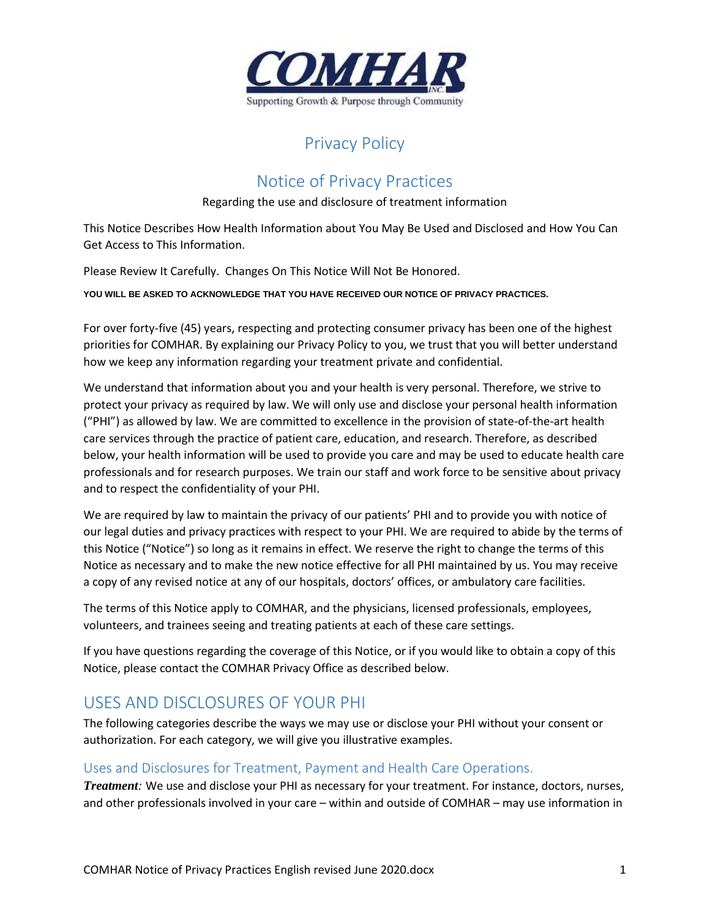

# Privacy Policy

# Notice of Privacy Practices

#### Regarding the use and disclosure of treatment information

This Notice Describes How Health Information about You May Be Used and Disclosed and How You Can Get Access to This Information.

Please Review It Carefully. Changes On This Notice Will Not Be Honored.

**YOU WILL BE ASKED TO ACKNOWLEDGE THAT YOU HAVE RECEIVED OUR NOTICE OF PRIVACY PRACTICES.**

For over forty-five (45) years, respecting and protecting consumer privacy has been one of the highest priorities for COMHAR. By explaining our Privacy Policy to you, we trust that you will better understand how we keep any information regarding your treatment private and confidential.

We understand that information about you and your health is very personal. Therefore, we strive to protect your privacy as required by law. We will only use and disclose your personal health information ("PHI") as allowed by law. We are committed to excellence in the provision of state-of-the-art health care services through the practice of patient care, education, and research. Therefore, as described below, your health information will be used to provide you care and may be used to educate health care professionals and for research purposes. We train our staff and work force to be sensitive about privacy and to respect the confidentiality of your PHI.

We are required by law to maintain the privacy of our patients' PHI and to provide you with notice of our legal duties and privacy practices with respect to your PHI. We are required to abide by the terms of this Notice ("Notice") so long as it remains in effect. We reserve the right to change the terms of this Notice as necessary and to make the new notice effective for all PHI maintained by us. You may receive a copy of any revised notice at any of our hospitals, doctors' offices, or ambulatory care facilities.

The terms of this Notice apply to COMHAR, and the physicians, licensed professionals, employees, volunteers, and trainees seeing and treating patients at each of these care settings.

If you have questions regarding the coverage of this Notice, or if you would like to obtain a copy of this Notice, please contact the COMHAR Privacy Office as described below.

# USES AND DISCLOSURES OF YOUR PHI

The following categories describe the ways we may use or disclose your PHI without your consent or authorization. For each category, we will give you illustrative examples.

#### Uses and Disclosures for Treatment, Payment and Health Care Operations.

*Treatment:* We use and disclose your PHI as necessary for your treatment. For instance, doctors, nurses, and other professionals involved in your care – within and outside of COMHAR – may use information in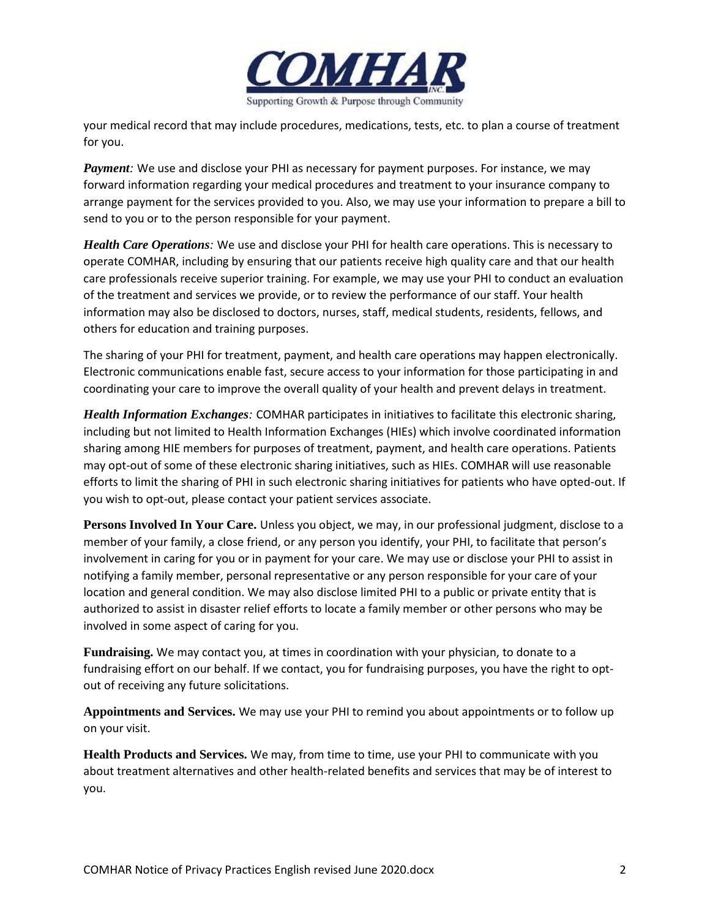

your medical record that may include procedures, medications, tests, etc. to plan a course of treatment for you.

*Payment:* We use and disclose your PHI as necessary for payment purposes. For instance, we may forward information regarding your medical procedures and treatment to your insurance company to arrange payment for the services provided to you. Also, we may use your information to prepare a bill to send to you or to the person responsible for your payment.

*Health Care Operations:* We use and disclose your PHI for health care operations. This is necessary to operate COMHAR, including by ensuring that our patients receive high quality care and that our health care professionals receive superior training. For example, we may use your PHI to conduct an evaluation of the treatment and services we provide, or to review the performance of our staff. Your health information may also be disclosed to doctors, nurses, staff, medical students, residents, fellows, and others for education and training purposes.

The sharing of your PHI for treatment, payment, and health care operations may happen electronically. Electronic communications enable fast, secure access to your information for those participating in and coordinating your care to improve the overall quality of your health and prevent delays in treatment.

*Health Information Exchanges:* COMHAR participates in initiatives to facilitate this electronic sharing, including but not limited to Health Information Exchanges (HIEs) which involve coordinated information sharing among HIE members for purposes of treatment, payment, and health care operations. Patients may opt-out of some of these electronic sharing initiatives, such as HIEs. COMHAR will use reasonable efforts to limit the sharing of PHI in such electronic sharing initiatives for patients who have opted-out. If you wish to opt-out, please contact your patient services associate.

**Persons Involved In Your Care.** Unless you object, we may, in our professional judgment, disclose to a member of your family, a close friend, or any person you identify, your PHI, to facilitate that person's involvement in caring for you or in payment for your care. We may use or disclose your PHI to assist in notifying a family member, personal representative or any person responsible for your care of your location and general condition. We may also disclose limited PHI to a public or private entity that is authorized to assist in disaster relief efforts to locate a family member or other persons who may be involved in some aspect of caring for you.

**Fundraising.** We may contact you, at times in coordination with your physician, to donate to a fundraising effort on our behalf. If we contact, you for fundraising purposes, you have the right to optout of receiving any future solicitations.

**Appointments and Services.** We may use your PHI to remind you about appointments or to follow up on your visit.

**Health Products and Services.** We may, from time to time, use your PHI to communicate with you about treatment alternatives and other health-related benefits and services that may be of interest to you.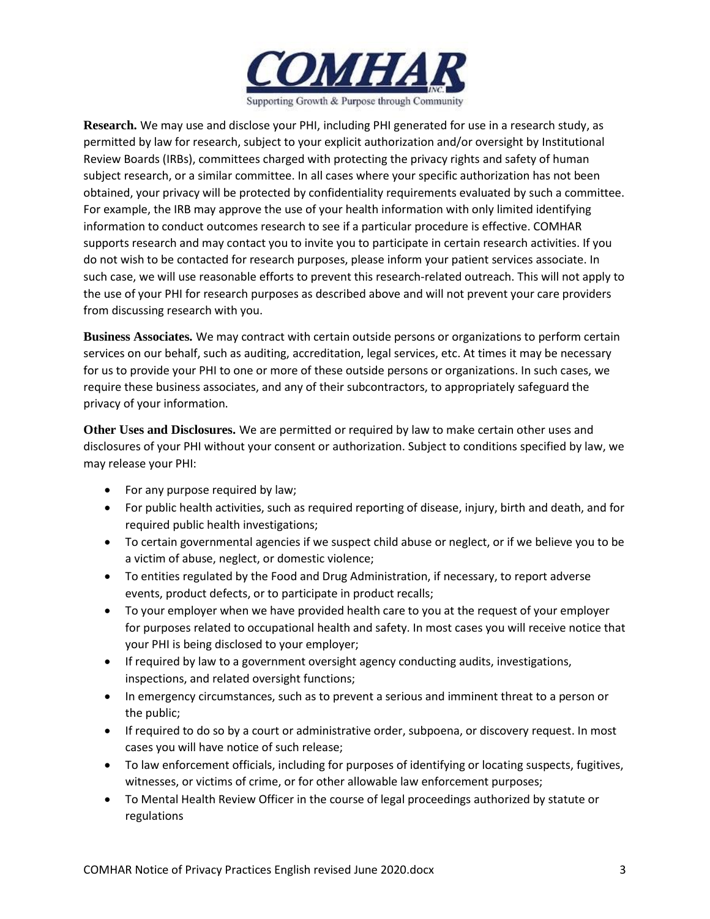

**Research.** We may use and disclose your PHI, including PHI generated for use in a research study, as permitted by law for research, subject to your explicit authorization and/or oversight by Institutional Review Boards (IRBs), committees charged with protecting the privacy rights and safety of human subject research, or a similar committee. In all cases where your specific authorization has not been obtained, your privacy will be protected by confidentiality requirements evaluated by such a committee. For example, the IRB may approve the use of your health information with only limited identifying information to conduct outcomes research to see if a particular procedure is effective. COMHAR supports research and may contact you to invite you to participate in certain research activities. If you do not wish to be contacted for research purposes, please inform your patient services associate. In such case, we will use reasonable efforts to prevent this research-related outreach. This will not apply to the use of your PHI for research purposes as described above and will not prevent your care providers from discussing research with you.

**Business Associates.** We may contract with certain outside persons or organizations to perform certain services on our behalf, such as auditing, accreditation, legal services, etc. At times it may be necessary for us to provide your PHI to one or more of these outside persons or organizations. In such cases, we require these business associates, and any of their subcontractors, to appropriately safeguard the privacy of your information.

**Other Uses and Disclosures.** We are permitted or required by law to make certain other uses and disclosures of your PHI without your consent or authorization. Subject to conditions specified by law, we may release your PHI:

- For any purpose required by law;
- For public health activities, such as required reporting of disease, injury, birth and death, and for required public health investigations;
- To certain governmental agencies if we suspect child abuse or neglect, or if we believe you to be a victim of abuse, neglect, or domestic violence;
- To entities regulated by the Food and Drug Administration, if necessary, to report adverse events, product defects, or to participate in product recalls;
- To your employer when we have provided health care to you at the request of your employer for purposes related to occupational health and safety. In most cases you will receive notice that your PHI is being disclosed to your employer;
- If required by law to a government oversight agency conducting audits, investigations, inspections, and related oversight functions;
- In emergency circumstances, such as to prevent a serious and imminent threat to a person or the public;
- If required to do so by a court or administrative order, subpoena, or discovery request. In most cases you will have notice of such release;
- To law enforcement officials, including for purposes of identifying or locating suspects, fugitives, witnesses, or victims of crime, or for other allowable law enforcement purposes;
- To Mental Health Review Officer in the course of legal proceedings authorized by statute or regulations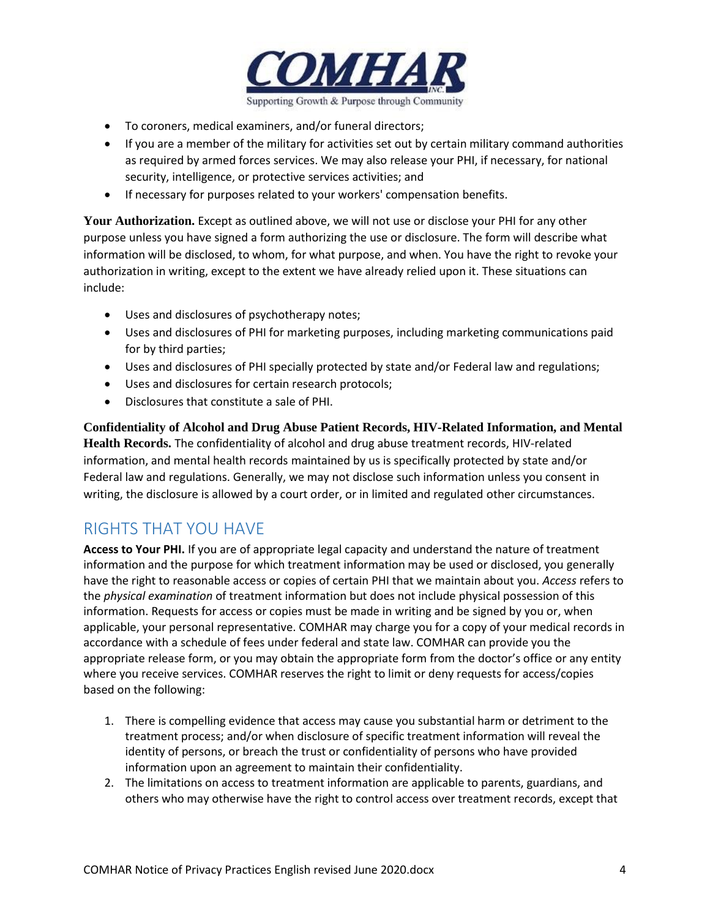

- To coroners, medical examiners, and/or funeral directors;
- If you are a member of the military for activities set out by certain military command authorities as required by armed forces services. We may also release your PHI, if necessary, for national security, intelligence, or protective services activities; and
- If necessary for purposes related to your workers' compensation benefits.

**Your Authorization.** Except as outlined above, we will not use or disclose your PHI for any other purpose unless you have signed a form authorizing the use or disclosure. The form will describe what information will be disclosed, to whom, for what purpose, and when. You have the right to revoke your authorization in writing, except to the extent we have already relied upon it. These situations can include:

- Uses and disclosures of psychotherapy notes;
- Uses and disclosures of PHI for marketing purposes, including marketing communications paid for by third parties;
- Uses and disclosures of PHI specially protected by state and/or Federal law and regulations;
- Uses and disclosures for certain research protocols;
- Disclosures that constitute a sale of PHI.

**Confidentiality of Alcohol and Drug Abuse Patient Records, HIV-Related Information, and Mental Health Records.** The confidentiality of alcohol and drug abuse treatment records, HIV-related information, and mental health records maintained by us is specifically protected by state and/or Federal law and regulations. Generally, we may not disclose such information unless you consent in writing, the disclosure is allowed by a court order, or in limited and regulated other circumstances.

# RIGHTS THAT YOU HAVE

**Access to Your PHI.** If you are of appropriate legal capacity and understand the nature of treatment information and the purpose for which treatment information may be used or disclosed, you generally have the right to reasonable access or copies of certain PHI that we maintain about you. *Access* refers to the *physical examination* of treatment information but does not include physical possession of this information. Requests for access or copies must be made in writing and be signed by you or, when applicable, your personal representative. COMHAR may charge you for a copy of your medical records in accordance with a schedule of fees under federal and state law. COMHAR can provide you the appropriate release form, or you may obtain the appropriate form from the doctor's office or any entity where you receive services. COMHAR reserves the right to limit or deny requests for access/copies based on the following:

- 1. There is compelling evidence that access may cause you substantial harm or detriment to the treatment process; and/or when disclosure of specific treatment information will reveal the identity of persons, or breach the trust or confidentiality of persons who have provided information upon an agreement to maintain their confidentiality.
- 2. The limitations on access to treatment information are applicable to parents, guardians, and others who may otherwise have the right to control access over treatment records, except that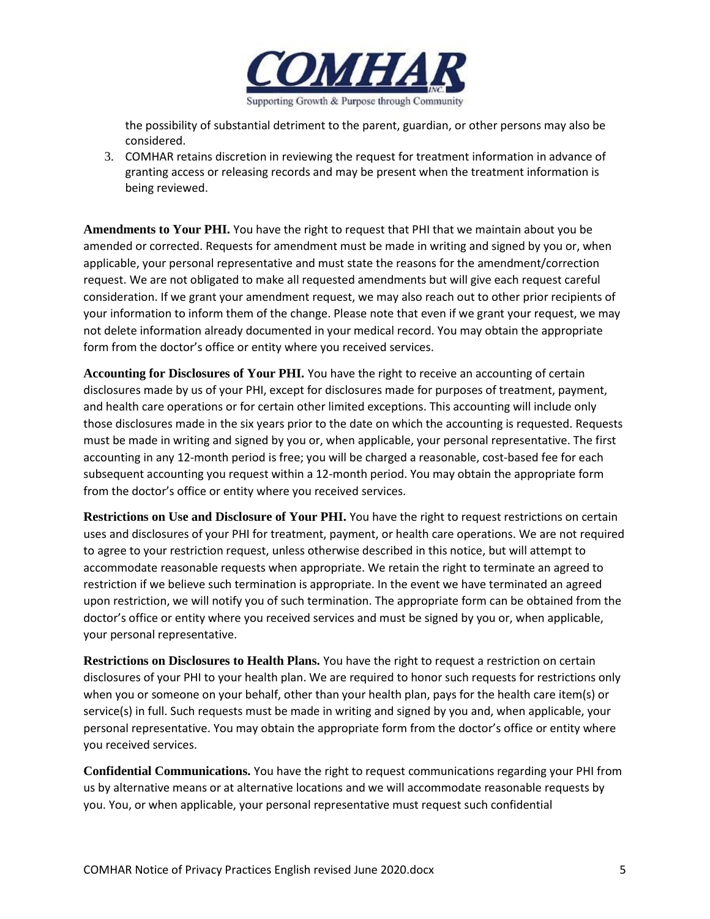

the possibility of substantial detriment to the parent, guardian, or other persons may also be considered.

3. COMHAR retains discretion in reviewing the request for treatment information in advance of granting access or releasing records and may be present when the treatment information is being reviewed.

**Amendments to Your PHI.** You have the right to request that PHI that we maintain about you be amended or corrected. Requests for amendment must be made in writing and signed by you or, when applicable, your personal representative and must state the reasons for the amendment/correction request. We are not obligated to make all requested amendments but will give each request careful consideration. If we grant your amendment request, we may also reach out to other prior recipients of your information to inform them of the change. Please note that even if we grant your request, we may not delete information already documented in your medical record. You may obtain the appropriate form from the doctor's office or entity where you received services.

**Accounting for Disclosures of Your PHI.** You have the right to receive an accounting of certain disclosures made by us of your PHI, except for disclosures made for purposes of treatment, payment, and health care operations or for certain other limited exceptions. This accounting will include only those disclosures made in the six years prior to the date on which the accounting is requested. Requests must be made in writing and signed by you or, when applicable, your personal representative. The first accounting in any 12-month period is free; you will be charged a reasonable, cost-based fee for each subsequent accounting you request within a 12-month period. You may obtain the appropriate form from the doctor's office or entity where you received services.

**Restrictions on Use and Disclosure of Your PHI.** You have the right to request restrictions on certain uses and disclosures of your PHI for treatment, payment, or health care operations. We are not required to agree to your restriction request, unless otherwise described in this notice, but will attempt to accommodate reasonable requests when appropriate. We retain the right to terminate an agreed to restriction if we believe such termination is appropriate. In the event we have terminated an agreed upon restriction, we will notify you of such termination. The appropriate form can be obtained from the doctor's office or entity where you received services and must be signed by you or, when applicable, your personal representative.

**Restrictions on Disclosures to Health Plans.** You have the right to request a restriction on certain disclosures of your PHI to your health plan. We are required to honor such requests for restrictions only when you or someone on your behalf, other than your health plan, pays for the health care item(s) or service(s) in full. Such requests must be made in writing and signed by you and, when applicable, your personal representative. You may obtain the appropriate form from the doctor's office or entity where you received services.

**Confidential Communications.** You have the right to request communications regarding your PHI from us by alternative means or at alternative locations and we will accommodate reasonable requests by you. You, or when applicable, your personal representative must request such confidential